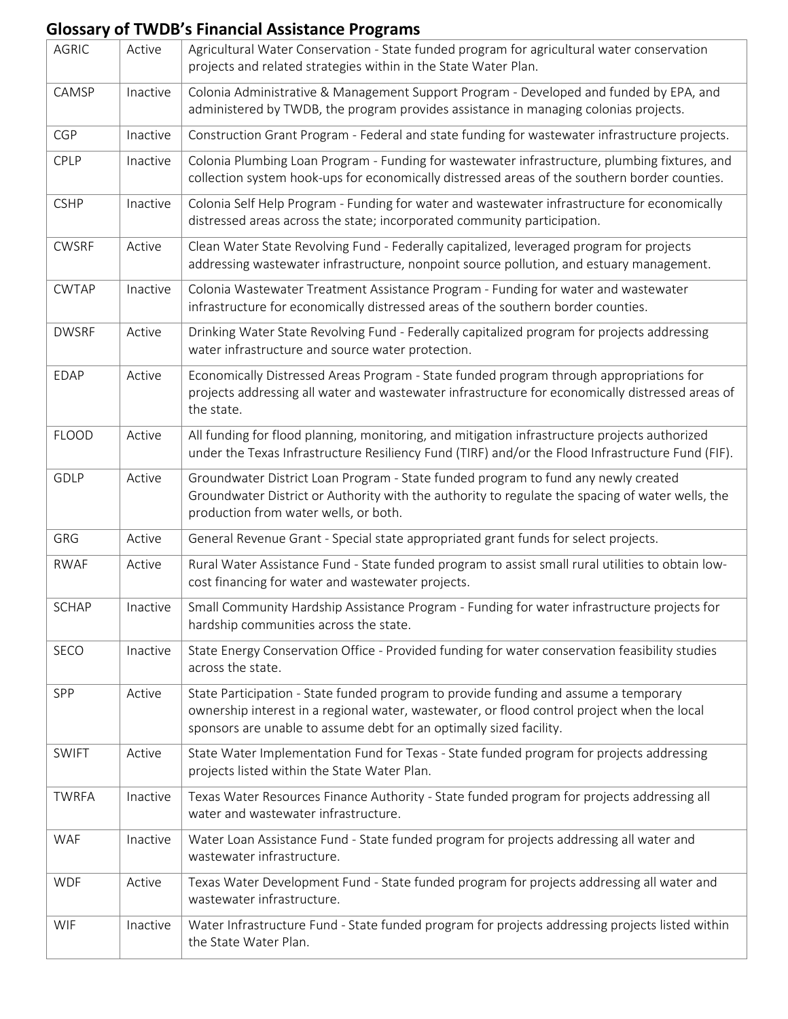## **Glossary of TWDB's Financial Assistance Programs**

| <b>AGRIC</b> | Active   | Agricultural Water Conservation - State funded program for agricultural water conservation<br>projects and related strategies within in the State Water Plan.                                                                                              |
|--------------|----------|------------------------------------------------------------------------------------------------------------------------------------------------------------------------------------------------------------------------------------------------------------|
| CAMSP        | Inactive | Colonia Administrative & Management Support Program - Developed and funded by EPA, and<br>administered by TWDB, the program provides assistance in managing colonias projects.                                                                             |
| <b>CGP</b>   | Inactive | Construction Grant Program - Federal and state funding for wastewater infrastructure projects.                                                                                                                                                             |
| CPLP         | Inactive | Colonia Plumbing Loan Program - Funding for wastewater infrastructure, plumbing fixtures, and<br>collection system hook-ups for economically distressed areas of the southern border counties.                                                             |
| <b>CSHP</b>  | Inactive | Colonia Self Help Program - Funding for water and wastewater infrastructure for economically<br>distressed areas across the state; incorporated community participation.                                                                                   |
| <b>CWSRF</b> | Active   | Clean Water State Revolving Fund - Federally capitalized, leveraged program for projects<br>addressing wastewater infrastructure, nonpoint source pollution, and estuary management.                                                                       |
| <b>CWTAP</b> | Inactive | Colonia Wastewater Treatment Assistance Program - Funding for water and wastewater<br>infrastructure for economically distressed areas of the southern border counties.                                                                                    |
| <b>DWSRF</b> | Active   | Drinking Water State Revolving Fund - Federally capitalized program for projects addressing<br>water infrastructure and source water protection.                                                                                                           |
| <b>EDAP</b>  | Active   | Economically Distressed Areas Program - State funded program through appropriations for<br>projects addressing all water and wastewater infrastructure for economically distressed areas of<br>the state.                                                  |
| <b>FLOOD</b> | Active   | All funding for flood planning, monitoring, and mitigation infrastructure projects authorized<br>under the Texas Infrastructure Resiliency Fund (TIRF) and/or the Flood Infrastructure Fund (FIF).                                                         |
| GDLP         | Active   | Groundwater District Loan Program - State funded program to fund any newly created<br>Groundwater District or Authority with the authority to regulate the spacing of water wells, the<br>production from water wells, or both.                            |
| GRG          | Active   | General Revenue Grant - Special state appropriated grant funds for select projects.                                                                                                                                                                        |
| <b>RWAF</b>  | Active   | Rural Water Assistance Fund - State funded program to assist small rural utilities to obtain low-<br>cost financing for water and wastewater projects.                                                                                                     |
| <b>SCHAP</b> | Inactive | Small Community Hardship Assistance Program - Funding for water infrastructure projects for<br>hardship communities across the state.                                                                                                                      |
| SECO         | Inactive | State Energy Conservation Office - Provided funding for water conservation feasibility studies<br>across the state.                                                                                                                                        |
| SPP          | Active   | State Participation - State funded program to provide funding and assume a temporary<br>ownership interest in a regional water, wastewater, or flood control project when the local<br>sponsors are unable to assume debt for an optimally sized facility. |
| <b>SWIFT</b> | Active   | State Water Implementation Fund for Texas - State funded program for projects addressing<br>projects listed within the State Water Plan.                                                                                                                   |
| <b>TWRFA</b> | Inactive | Texas Water Resources Finance Authority - State funded program for projects addressing all<br>water and wastewater infrastructure.                                                                                                                         |
| WAF          | Inactive | Water Loan Assistance Fund - State funded program for projects addressing all water and<br>wastewater infrastructure.                                                                                                                                      |
| <b>WDF</b>   | Active   | Texas Water Development Fund - State funded program for projects addressing all water and<br>wastewater infrastructure.                                                                                                                                    |
| WIF          | Inactive | Water Infrastructure Fund - State funded program for projects addressing projects listed within<br>the State Water Plan.                                                                                                                                   |